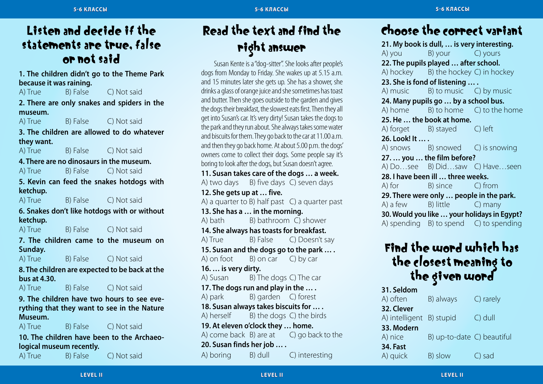### Listen and decide if the statements are true, false or not said

**1. The children didn't go to the Theme Park because it was raining.**

A) True B) False C) Not said

**2. There are only snakes and spiders in the museum.**

A) True B) False C) Not said

**3. The children are allowed to do whatever they want.**

A) True B) False C) Not said

**4. There are no dinosaurs in the museum.** A) True B) False C) Not said

**5. Kevin can feed the snakes hotdogs with ketchup.**

A) True B) False C) Not said

**6. Snakes don't like hotdogs with or without ketchup.**

A) True B) False C) Not said

**7. The children came to the museum on Sunday.**

A) True B) False C) Not said

**8. The children are expected to be back at the bus at 4.30.**

A) True B) False C) Not said

**9. The children have two hours to see everything that they want to see in the Nature Museum.**

A) True B) False C) Not said

**10. The children have been to the Archaeological museum recently.** 

A) True B) False C) Not said

# Read the text and find the right answer

Susan Kente is a "dog-sitter". She looks after people's dogs from Monday to Friday. She wakes up at 5.15 a.m. and 15 minutes later she gets up. She has a shower, she drinks a glass of orange juice and she sometimes has toast and butter. Then she goes outside to the garden and gives the dogs their breakfast, the slowest eats first. Then they all get into Susan's car. It's very dirty! Susan takes the dogs to the park and they run about. She always takes some water and biscuits for them. They go back to the car at 11.00 a.m. and then they go back home. At about 5.00 p.m. the dogs' owners come to collect their dogs. Some people say it's boring to look after the dogs, but Susan doesn't agree. **11. Susan takes care of the dogs … a week.** A) two days B) five days C) seven days **12. She gets up at … five.** A) a quarter to B) half past C) a quarter past **13. She has a … in the morning.**

A) bath B) bathroom C) shower **14. She always has toasts for breakfast.** A) True B) False C) Doesn't say **15. Susan and the dogs go to the park … .** A) on foot  $B$ ) on car  $C$ ) by car **16. … is very dirty.** A) Susan B) The dogs C) The car **17. The dogs run and play in the … .** A) park B) garden C) forest **18. Susan always takes biscuits for … .** A) herself B) the dogs C) the birds **19. At eleven o'clock they … home.** A) come back  $B$ ) are at  $C$ ) go back to the **20. Susan finds her job … .** A) boring B) dull C) interesting

# Choose the correct variant

**21. My book is dull, … is very interesting.** A) you B) your C) yours **22. The pupils played … after school.** A) hockey B) the hockey C) in hockey **23. She is fond of listening … .** A) music B) to music C) by music **24. Many pupils go … by a school bus.** A) home B) to home C) to the home **25. He … the book at home.** A) forget B) stayed C) left **26. Look! It … .** A) snows B) snowed C) is snowing **27. … you … the film before?** A) Do…see B) Did…saw C) Have…seen **28. I have been ill … three weeks.** A) for B) since C) from **29. There were only … people in the park.** A) a few B) little C) many **30. Would you like … your holidays in Egypt?** A) spending B) to spend C) to spending

# Find the word which has the closest meaning to<br>the given word

**31. Seldom** A) often B) always C) rarely **32. Clever** A) intelligent B) stupid C) dull **33. Modern** A) nice B) up-to-date C) beautiful **34. Fast** A) quick B) slow C) sad

**Le vel II Le vel II**

**Le vel II**